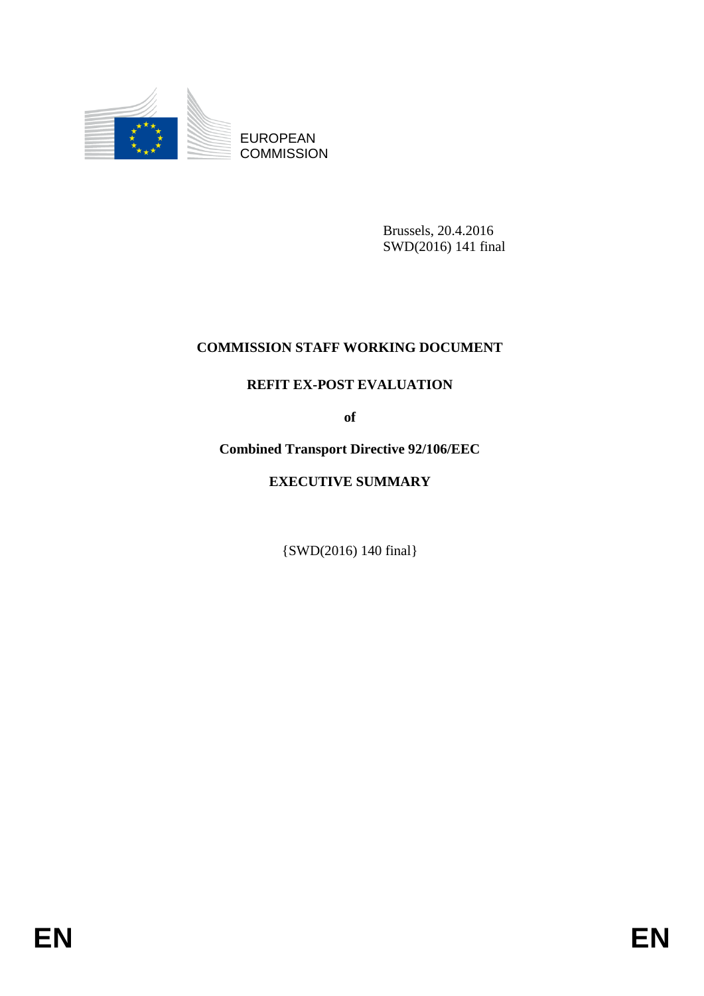

EUROPEAN **COMMISSION** 

> Brussels, 20.4.2016 SWD(2016) 141 final

## **COMMISSION STAFF WORKING DOCUMENT**

## **REFIT EX-POST EVALUATION**

**of**

**Combined Transport Directive 92/106/EEC**

## **EXECUTIVE SUMMARY**

{SWD(2016) 140 final}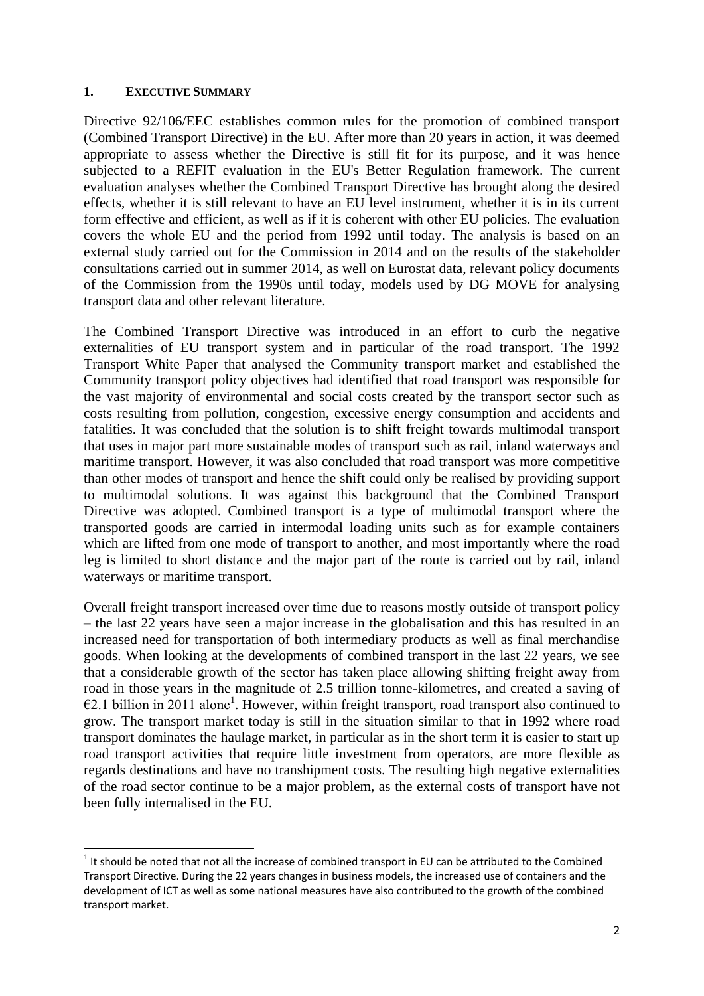## **1. EXECUTIVE SUMMARY**

1

Directive 92/106/EEC establishes common rules for the promotion of combined transport (Combined Transport Directive) in the EU. After more than 20 years in action, it was deemed appropriate to assess whether the Directive is still fit for its purpose, and it was hence subjected to a REFIT evaluation in the EU's Better Regulation framework. The current evaluation analyses whether the Combined Transport Directive has brought along the desired effects, whether it is still relevant to have an EU level instrument, whether it is in its current form effective and efficient, as well as if it is coherent with other EU policies. The evaluation covers the whole EU and the period from 1992 until today. The analysis is based on an external study carried out for the Commission in 2014 and on the results of the stakeholder consultations carried out in summer 2014, as well on Eurostat data, relevant policy documents of the Commission from the 1990s until today, models used by DG MOVE for analysing transport data and other relevant literature.

The Combined Transport Directive was introduced in an effort to curb the negative externalities of EU transport system and in particular of the road transport. The 1992 Transport White Paper that analysed the Community transport market and established the Community transport policy objectives had identified that road transport was responsible for the vast majority of environmental and social costs created by the transport sector such as costs resulting from pollution, congestion, excessive energy consumption and accidents and fatalities. It was concluded that the solution is to shift freight towards multimodal transport that uses in major part more sustainable modes of transport such as rail, inland waterways and maritime transport. However, it was also concluded that road transport was more competitive than other modes of transport and hence the shift could only be realised by providing support to multimodal solutions. It was against this background that the Combined Transport Directive was adopted. Combined transport is a type of multimodal transport where the transported goods are carried in intermodal loading units such as for example containers which are lifted from one mode of transport to another, and most importantly where the road leg is limited to short distance and the major part of the route is carried out by rail, inland waterways or maritime transport.

Overall freight transport increased over time due to reasons mostly outside of transport policy – the last 22 years have seen a major increase in the globalisation and this has resulted in an increased need for transportation of both intermediary products as well as final merchandise goods. When looking at the developments of combined transport in the last 22 years, we see that a considerable growth of the sector has taken place allowing shifting freight away from road in those years in the magnitude of 2.5 trillion tonne-kilometres, and created a saving of  $\epsilon$ 2.1 billion in 2011 alone<sup>1</sup>. However, within freight transport, road transport also continued to grow. The transport market today is still in the situation similar to that in 1992 where road transport dominates the haulage market, in particular as in the short term it is easier to start up road transport activities that require little investment from operators, are more flexible as regards destinations and have no transhipment costs. The resulting high negative externalities of the road sector continue to be a major problem, as the external costs of transport have not been fully internalised in the EU.

 $1$  It should be noted that not all the increase of combined transport in EU can be attributed to the Combined Transport Directive. During the 22 years changes in business models, the increased use of containers and the development of ICT as well as some national measures have also contributed to the growth of the combined transport market.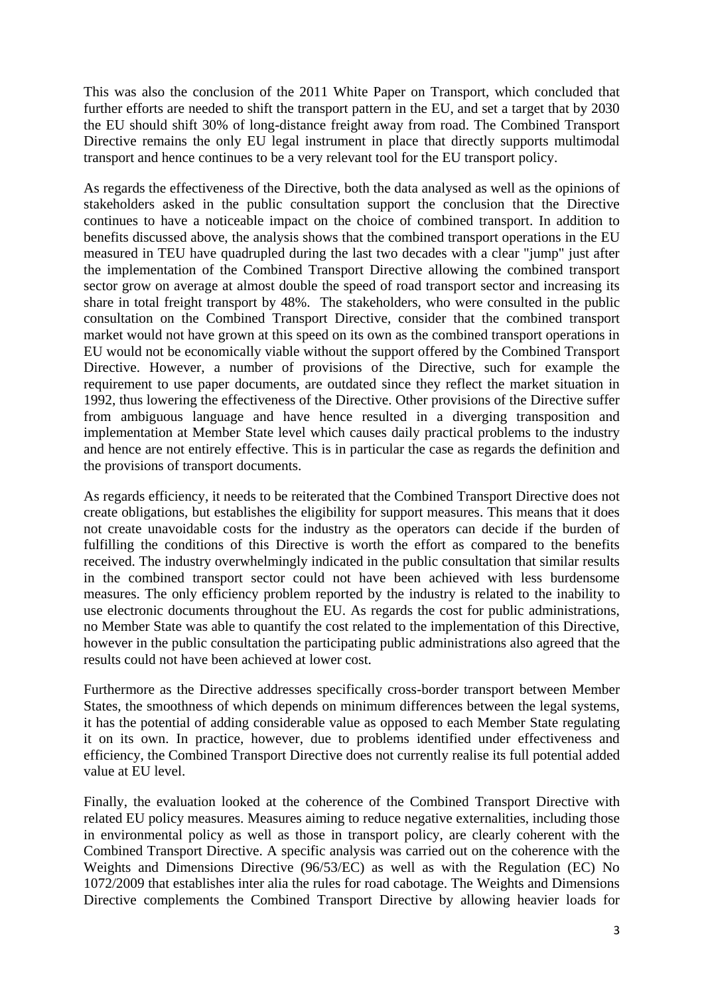This was also the conclusion of the 2011 White Paper on Transport, which concluded that further efforts are needed to shift the transport pattern in the EU, and set a target that by 2030 the EU should shift 30% of long-distance freight away from road. The Combined Transport Directive remains the only EU legal instrument in place that directly supports multimodal transport and hence continues to be a very relevant tool for the EU transport policy.

As regards the effectiveness of the Directive, both the data analysed as well as the opinions of stakeholders asked in the public consultation support the conclusion that the Directive continues to have a noticeable impact on the choice of combined transport. In addition to benefits discussed above, the analysis shows that the combined transport operations in the EU measured in TEU have quadrupled during the last two decades with a clear "jump" just after the implementation of the Combined Transport Directive allowing the combined transport sector grow on average at almost double the speed of road transport sector and increasing its share in total freight transport by 48%. The stakeholders, who were consulted in the public consultation on the Combined Transport Directive, consider that the combined transport market would not have grown at this speed on its own as the combined transport operations in EU would not be economically viable without the support offered by the Combined Transport Directive. However, a number of provisions of the Directive, such for example the requirement to use paper documents, are outdated since they reflect the market situation in 1992, thus lowering the effectiveness of the Directive. Other provisions of the Directive suffer from ambiguous language and have hence resulted in a diverging transposition and implementation at Member State level which causes daily practical problems to the industry and hence are not entirely effective. This is in particular the case as regards the definition and the provisions of transport documents.

As regards efficiency, it needs to be reiterated that the Combined Transport Directive does not create obligations, but establishes the eligibility for support measures. This means that it does not create unavoidable costs for the industry as the operators can decide if the burden of fulfilling the conditions of this Directive is worth the effort as compared to the benefits received. The industry overwhelmingly indicated in the public consultation that similar results in the combined transport sector could not have been achieved with less burdensome measures. The only efficiency problem reported by the industry is related to the inability to use electronic documents throughout the EU. As regards the cost for public administrations, no Member State was able to quantify the cost related to the implementation of this Directive, however in the public consultation the participating public administrations also agreed that the results could not have been achieved at lower cost.

Furthermore as the Directive addresses specifically cross-border transport between Member States, the smoothness of which depends on minimum differences between the legal systems, it has the potential of adding considerable value as opposed to each Member State regulating it on its own. In practice, however, due to problems identified under effectiveness and efficiency, the Combined Transport Directive does not currently realise its full potential added value at EU level.

Finally, the evaluation looked at the coherence of the Combined Transport Directive with related EU policy measures. Measures aiming to reduce negative externalities, including those in environmental policy as well as those in transport policy, are clearly coherent with the Combined Transport Directive. A specific analysis was carried out on the coherence with the Weights and Dimensions Directive (96/53/EC) as well as with the Regulation (EC) No 1072/2009 that establishes inter alia the rules for road cabotage. The Weights and Dimensions Directive complements the Combined Transport Directive by allowing heavier loads for